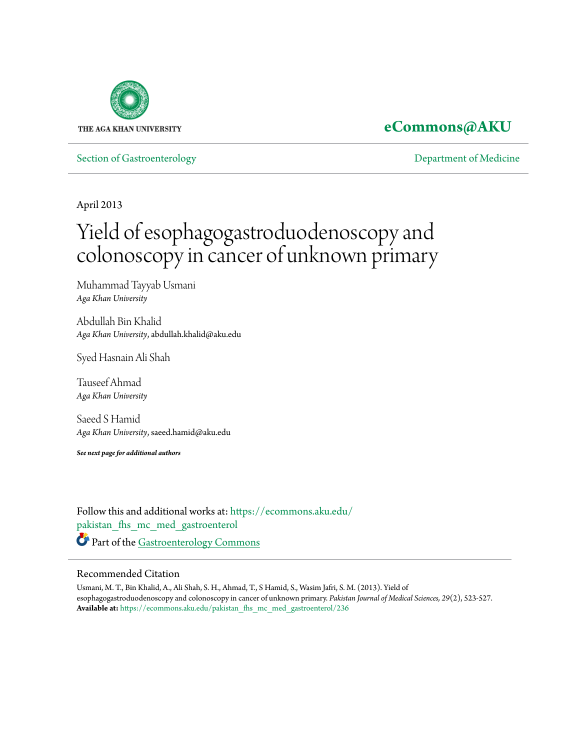

# **[eCommons@AKU](https://ecommons.aku.edu?utm_source=ecommons.aku.edu%2Fpakistan_fhs_mc_med_gastroenterol%2F236&utm_medium=PDF&utm_campaign=PDFCoverPages)**

[Section of Gastroenterology](https://ecommons.aku.edu/pakistan_fhs_mc_med_gastroenterol?utm_source=ecommons.aku.edu%2Fpakistan_fhs_mc_med_gastroenterol%2F236&utm_medium=PDF&utm_campaign=PDFCoverPages) [Department of Medicine](https://ecommons.aku.edu/pakistan_fhs_mc_med?utm_source=ecommons.aku.edu%2Fpakistan_fhs_mc_med_gastroenterol%2F236&utm_medium=PDF&utm_campaign=PDFCoverPages)

April 2013

# Yield of esophagogastroduodenoscopy and colonoscopy in cancer of unknown primary

Muhammad Tayyab Usmani *Aga Khan University*

Abdullah Bin Khalid *Aga Khan University*, abdullah.khalid@aku.edu

Syed Hasnain Ali Shah

Tauseef Ahmad *Aga Khan University*

Saeed S Hamid *Aga Khan University*, saeed.hamid@aku.edu

*See next page for additional authors*

Follow this and additional works at: [https://ecommons.aku.edu/](https://ecommons.aku.edu/pakistan_fhs_mc_med_gastroenterol?utm_source=ecommons.aku.edu%2Fpakistan_fhs_mc_med_gastroenterol%2F236&utm_medium=PDF&utm_campaign=PDFCoverPages) [pakistan\\_fhs\\_mc\\_med\\_gastroenterol](https://ecommons.aku.edu/pakistan_fhs_mc_med_gastroenterol?utm_source=ecommons.aku.edu%2Fpakistan_fhs_mc_med_gastroenterol%2F236&utm_medium=PDF&utm_campaign=PDFCoverPages) Part of the [Gastroenterology Commons](http://network.bepress.com/hgg/discipline/687?utm_source=ecommons.aku.edu%2Fpakistan_fhs_mc_med_gastroenterol%2F236&utm_medium=PDF&utm_campaign=PDFCoverPages)

# Recommended Citation

Usmani, M. T., Bin Khalid, A., Ali Shah, S. H., Ahmad, T., S Hamid, S., Wasim Jafri, S. M. (2013). Yield of esophagogastroduodenoscopy and colonoscopy in cancer of unknown primary. *Pakistan Journal of Medical Sciences, 29*(2), 523-527. **Available at:** [https://ecommons.aku.edu/pakistan\\_fhs\\_mc\\_med\\_gastroenterol/236](https://ecommons.aku.edu/pakistan_fhs_mc_med_gastroenterol/236)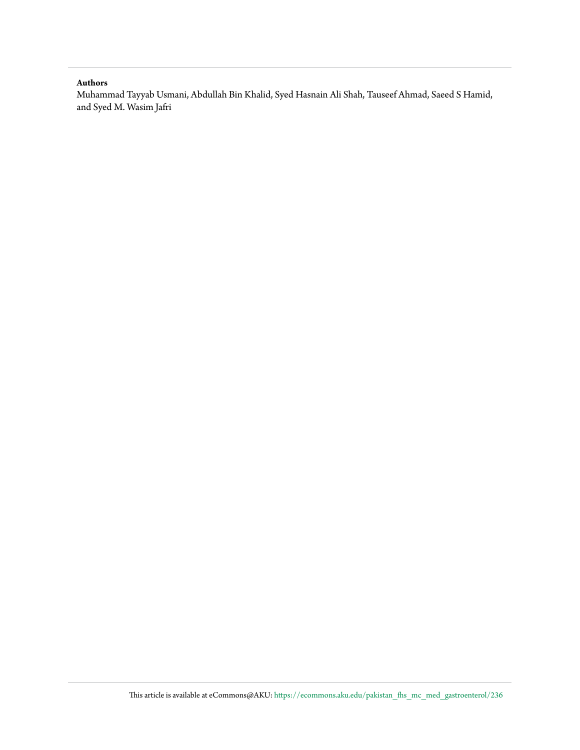## **Authors**

Muhammad Tayyab Usmani, Abdullah Bin Khalid, Syed Hasnain Ali Shah, Tauseef Ahmad, Saeed S Hamid, and Syed M. Wasim Jafri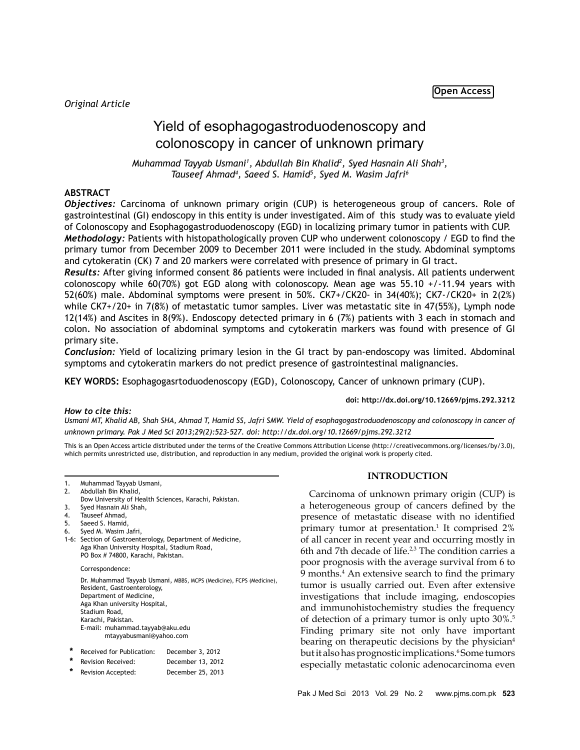# Yield of esophagogastroduodenoscopy and colonoscopy in cancer of unknown primary

*Muhammad Tayyab Usmani1 , Abdullah Bin Khalid2 , Syed Hasnain Ali Shah3 , Tauseef Ahmad4 , Saeed S. Hamid5 , Syed M. Wasim Jafri6*

## **ABSTRACT**

*Objectives:* Carcinoma of unknown primary origin (CUP) is heterogeneous group of cancers. Role of gastrointestinal (GI) endoscopy in this entity is under investigated. Aim of this study was to evaluate yield of Colonoscopy and Esophagogastroduodenoscopy (EGD) in localizing primary tumor in patients with CUP. *Methodology:* Patients with histopathologically proven CUP who underwent colonoscopy / EGD to find the primary tumor from December 2009 to December 2011 were included in the study. Abdominal symptoms and cytokeratin (CK) 7 and 20 markers were correlated with presence of primary in GI tract.

*Results:* After giving informed consent 86 patients were included in final analysis. All patients underwent colonoscopy while 60(70%) got EGD along with colonoscopy. Mean age was 55.10 +/-11.94 years with 52(60%) male. Abdominal symptoms were present in 50%. CK7+/CK20- in 34(40%); CK7-/CK20+ in 2(2%) while CK7+/20+ in 7(8%) of metastatic tumor samples. Liver was metastatic site in 47(55%), Lymph node 12(14%) and Ascites in 8(9%). Endoscopy detected primary in 6 (7%) patients with 3 each in stomach and colon. No association of abdominal symptoms and cytokeratin markers was found with presence of GI primary site.

*Conclusion:* Yield of localizing primary lesion in the GI tract by pan-endoscopy was limited. Abdominal symptoms and cytokeratin markers do not predict presence of gastrointestinal malignancies.

**KEY WORDS:** Esophagogasrtoduodenoscopy (EGD), Colonoscopy, Cancer of unknown primary (CUP).

**doi: http://dx.doi.org/10.12669/pjms.292.3212**

#### *How to cite this:*

*Usmani MT, Khalid AB, Shah SHA, Ahmad T, Hamid SS, Jafri SMW. Yield of esophagogastroduodenoscopy and colonoscopy in cancer of unknown primary. Pak J Med Sci 2013;29(2):523-527. doi: http://dx.doi.org/10.12669/pjms.292.3212*

This is an Open Access article distributed under the terms of the Creative Commons Attribution License (http://creativecommons.org/licenses/by/3.0), which permits unrestricted use, distribution, and reproduction in any medium, provided the original work is properly cited.

- 1. Muhammad Tayyab Usmani,
- 2. Abdullah Bin Khalid,
- Dow University of Health Sciences, Karachi, Pakistan.
- 3. Syed Hasnain Ali Shah,
- 4. Tauseef Ahmad,
- 5. Saeed S. Hamid,
- 6. Syed M. Wasim Jafri,
- 1-6: Section of Gastroenterology, Department of Medicine, Aga Khan University Hospital, Stadium Road, PO Box # 74800, Karachi, Pakistan.

#### Correspondence:

Dr. Muhammad Tayyab Usmani, MBBS, MCPS (Medicine), FCPS (Medicine), Resident, Gastroenterology, Department of Medicine, Aga Khan university Hospital, Stadium Road, Karachi, Pakistan. E-mail: muhammad.tayyab@aku.edu mtayyabusmani@yahoo.com

| $\ast$ | Received for Publication: | December 3, 2012  |
|--------|---------------------------|-------------------|
| *      | Revision Received:        | December 13, 2012 |
| $\ast$ | Revision Accepted:        | December 25, 2013 |
|        |                           |                   |

#### **INTRODUCTION**

Carcinoma of unknown primary origin (CUP) is a heterogeneous group of cancers defined by the presence of metastatic disease with no identified primary tumor at presentation.<sup>1</sup> It comprised 2% of all cancer in recent year and occurring mostly in 6th and 7th decade of life. $23$  The condition carries a poor prognosis with the average survival from 6 to 9 months.4 An extensive search to find the primary tumor is usually carried out. Even after extensive investigations that include imaging, endoscopies and immunohistochemistry studies the frequency of detection of a primary tumor is only upto 30%.5 Finding primary site not only have important bearing on therapeutic decisions by the physician<sup>4</sup> but it also has prognostic implications. *S*ome tumors especially metastatic colonic adenocarcinoma even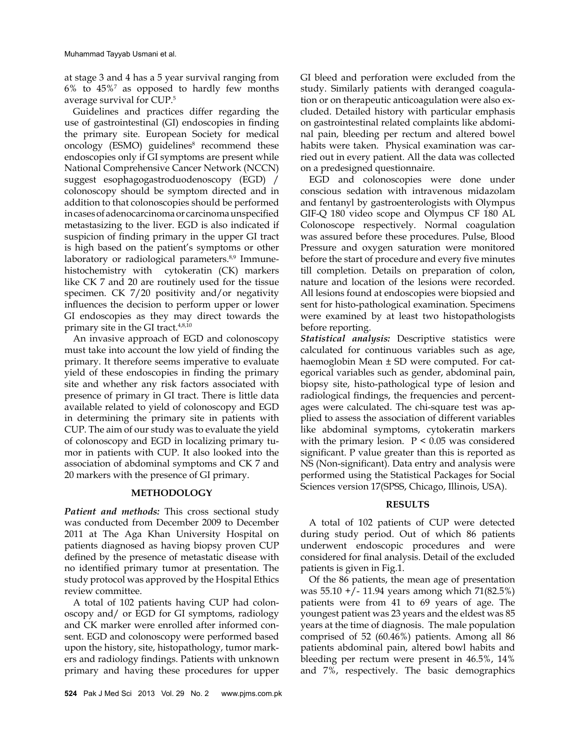at stage 3 and 4 has a 5 year survival ranging from  $6\%$  to  $45\%$ <sup>7</sup> as opposed to hardly few months average survival for CUP.5

Guidelines and practices differ regarding the use of gastrointestinal (GI) endoscopies in finding the primary site. European Society for medical oncology (ESMO) guidelines<sup>8</sup> recommend these endoscopies only if GI symptoms are present while National Comprehensive Cancer Network (NCCN) suggest esophagogastroduodenoscopy (EGD) / colonoscopy should be symptom directed and in addition to that colonoscopies should be performed in cases of adenocarcinoma or carcinoma unspecified metastasizing to the liver. EGD is also indicated if suspicion of finding primary in the upper GI tract is high based on the patient's symptoms or other laboratory or radiological parameters.<sup>8,9</sup> Immunehistochemistry with cytokeratin (CK) markers like CK 7 and 20 are routinely used for the tissue specimen. CK 7/20 positivity and/or negativity influences the decision to perform upper or lower GI endoscopies as they may direct towards the primary site in the GI tract.4,8,10

An invasive approach of EGD and colonoscopy must take into account the low yield of finding the primary. It therefore seems imperative to evaluate yield of these endoscopies in finding the primary site and whether any risk factors associated with presence of primary in GI tract. There is little data available related to yield of colonoscopy and EGD in determining the primary site in patients with CUP. The aim of our study was to evaluate the yield of colonoscopy and EGD in localizing primary tumor in patients with CUP. It also looked into the association of abdominal symptoms and CK 7 and 20 markers with the presence of GI primary.

#### **METHODOLOGY**

*Patient and methods:* This cross sectional study was conducted from December 2009 to December 2011 at The Aga Khan University Hospital on patients diagnosed as having biopsy proven CUP defined by the presence of metastatic disease with no identified primary tumor at presentation. The study protocol was approved by the Hospital Ethics review committee.

A total of 102 patients having CUP had colonoscopy and/ or EGD for GI symptoms, radiology and CK marker were enrolled after informed consent. EGD and colonoscopy were performed based upon the history, site, histopathology, tumor markers and radiology findings. Patients with unknown primary and having these procedures for upper

GI bleed and perforation were excluded from the study. Similarly patients with deranged coagulation or on therapeutic anticoagulation were also excluded. Detailed history with particular emphasis on gastrointestinal related complaints like abdominal pain, bleeding per rectum and altered bowel habits were taken. Physical examination was carried out in every patient. All the data was collected on a predesigned questionnaire.

EGD and colonoscopies were done under conscious sedation with intravenous midazolam and fentanyl by gastroenterologists with Olympus GIF-Q 180 video scope and Olympus CF 180 AL Colonoscope respectively. Normal coagulation was assured before these procedures. Pulse, Blood Pressure and oxygen saturation were monitored before the start of procedure and every five minutes till completion. Details on preparation of colon, nature and location of the lesions were recorded. All lesions found at endoscopies were biopsied and sent for histo-pathological examination. Specimens were examined by at least two histopathologists before reporting.

*Statistical analysis:* Descriptive statistics were calculated for continuous variables such as age, haemoglobin Mean ± SD were computed. For categorical variables such as gender, abdominal pain, biopsy site, histo-pathological type of lesion and radiological findings, the frequencies and percentages were calculated. The chi-square test was applied to assess the association of different variables like abdominal symptoms, cytokeratin markers with the primary lesion.  $P < 0.05$  was considered significant. P value greater than this is reported as NS (Non-significant). Data entry and analysis were performed using the Statistical Packages for Social Sciences version 17(SPSS, Chicago, Illinois, USA).

#### **RESULTS**

A total of 102 patients of CUP were detected during study period. Out of which 86 patients underwent endoscopic procedures and were considered for final analysis. Detail of the excluded patients is given in Fig.1.

Of the 86 patients, the mean age of presentation was 55.10 +/- 11.94 years among which 71(82.5%) patients were from 41 to 69 years of age. The youngest patient was 23 years and the eldest was 85 years at the time of diagnosis. The male population comprised of 52 (60.46%) patients. Among all 86 patients abdominal pain, altered bowl habits and bleeding per rectum were present in 46.5%, 14% and 7%, respectively. The basic demographics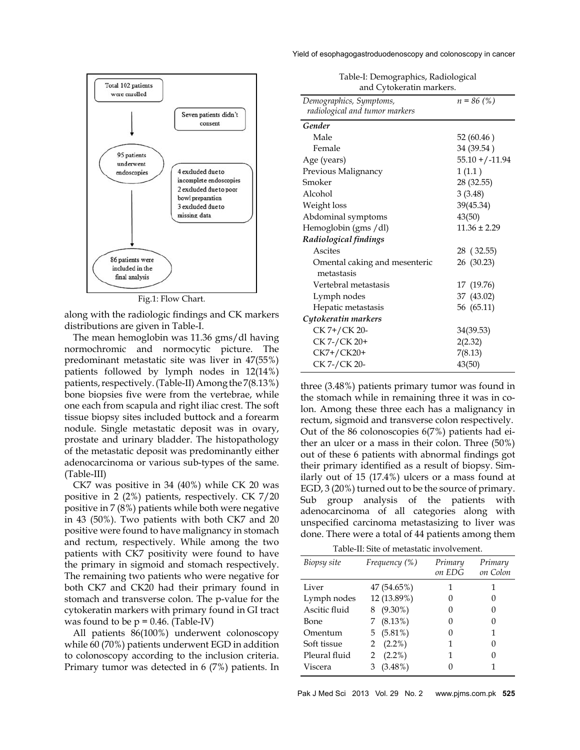

Fig.1: Flow Chart.

along with the radiologic findings and CK markers distributions are given in Table-I.

The mean hemoglobin was 11.36 gms/dl having normochromic and normocytic picture. The predominant metastatic site was liver in 47(55%) patients followed by lymph nodes in 12(14%) patients, respectively. (Table-II) Among the 7(8.13%) bone biopsies five were from the vertebrae, while one each from scapula and right iliac crest. The soft tissue biopsy sites included buttock and a forearm nodule. Single metastatic deposit was in ovary, prostate and urinary bladder. The histopathology of the metastatic deposit was predominantly either adenocarcinoma or various sub-types of the same. (Table-III)

CK7 was positive in 34 (40%) while CK 20 was positive in 2 (2%) patients, respectively. CK 7/20 positive in 7 (8%) patients while both were negative in 43 (50%). Two patients with both CK7 and 20 positive were found to have malignancy in stomach and rectum, respectively. While among the two patients with CK7 positivity were found to have the primary in sigmoid and stomach respectively. The remaining two patients who were negative for both CK7 and CK20 had their primary found in stomach and transverse colon. The p-value for the cytokeratin markers with primary found in GI tract was found to be  $p = 0.46$ . (Table-IV)

All patients 86(100%) underwent colonoscopy while 60 (70%) patients underwent EGD in addition to colonoscopy according to the inclusion criteria. Primary tumor was detected in 6 (7%) patients. In Yield of esophagogastroduodenoscopy and colonoscopy in cancer

| Table-I: Demographics, Radiological |  |
|-------------------------------------|--|
| and Cytokeratin markers.            |  |

| Demographics, Symptoms,        | $n = 86$ (%)       |
|--------------------------------|--------------------|
| radiological and tumor markers |                    |
| Gender                         |                    |
| Male                           | 52(60.46)          |
| Female                         | 34 (39.54)         |
| Age (years)                    | $55.10 + (-11.94)$ |
| Previous Malignancy            | 1(1.1)             |
| Smoker                         | 28 (32.55)         |
| Alcohol                        | 3(3.48)            |
| Weight loss                    | 39(45.34)          |
| Abdominal symptoms             | 43(50)             |
| Hemoglobin (gms / dl)          | $11.36 \pm 2.29$   |
| Radiological findings          |                    |
| Ascites                        | 28 (32.55)         |
| Omental caking and mesenteric  | 26 (30.23)         |
| metastasis                     |                    |
| Vertebral metastasis           | 17 (19.76)         |
| Lymph nodes                    | 37 (43.02)         |
| Hepatic metastasis             | 56 (65.11)         |
| Cytokeratin markers            |                    |
| CK 7+/CK 20-                   | 34(39.53)          |
| CK 7-/CK 20+                   | 2(2.32)            |
| CK7+/CK20+                     | 7(8.13)            |
| CK 7-/CK 20-                   | 43(50)             |

three (3.48%) patients primary tumor was found in the stomach while in remaining three it was in colon. Among these three each has a malignancy in rectum, sigmoid and transverse colon respectively. Out of the 86 colonoscopies 6(7%) patients had either an ulcer or a mass in their colon. Three (50%) out of these 6 patients with abnormal findings got their primary identified as a result of biopsy. Similarly out of 15 (17.4%) ulcers or a mass found at EGD, 3 (20%) turned out to be the source of primary. Sub group analysis of the patients with adenocarcinoma of all categories along with unspecified carcinoma metastasizing to liver was done. There were a total of 44 patients among them

Table-II: Site of metastatic involvement.

| Biopsy site   | Frequency (%) | Primary<br>on EDG | Primary<br>on Colon |
|---------------|---------------|-------------------|---------------------|
| Liver         | 47 (54.65%)   | 1                 | 1                   |
| Lymph nodes   | 12 (13.89%)   | 0                 |                     |
| Ascitic fluid | 8 (9.30%)     | 0                 |                     |
| Bone          | 7(8.13%)      | 0                 |                     |
| Omentum       | 5 $(5.81%)$   | 0                 | 1                   |
| Soft tissue   | 2 $(2.2\%)$   | 1                 |                     |
| Pleural fluid | 2 $(2.2\%)$   | 1                 |                     |
| Viscera       | $(3.48\%)$    |                   |                     |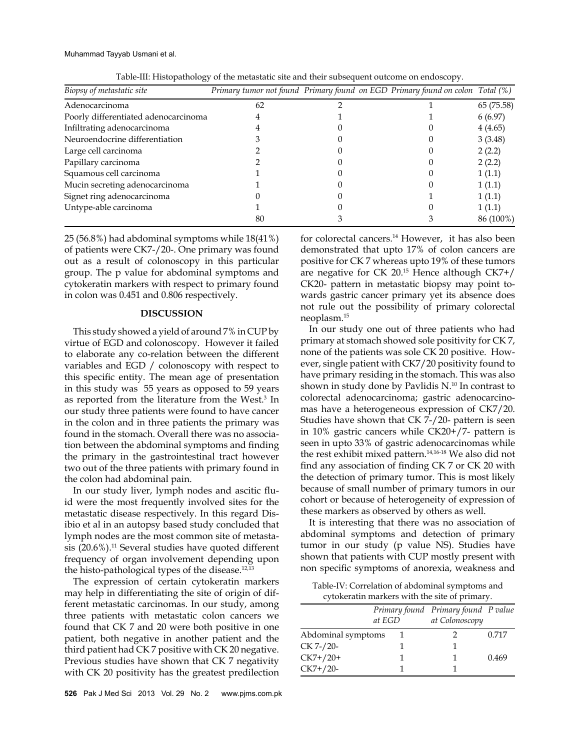Muhammad Tayyab Usmani et al.

| Biopsy of metastatic site            | Primary tumor not found Primary found on EGD Primary found on colon Total (%) |  |            |
|--------------------------------------|-------------------------------------------------------------------------------|--|------------|
| Adenocarcinoma                       | 62                                                                            |  | 65 (75.58) |
| Poorly differentiated adenocarcinoma |                                                                               |  | 6(6.97)    |
| Infiltrating adenocarcinoma          |                                                                               |  | 4(4.65)    |
| Neuroendocrine differentiation       |                                                                               |  | 3(3.48)    |
| Large cell carcinoma                 |                                                                               |  | 2(2.2)     |
| Papillary carcinoma                  |                                                                               |  | 2(2.2)     |
| Squamous cell carcinoma              |                                                                               |  | 1(1.1)     |
| Mucin secreting adenocarcinoma       |                                                                               |  | 1(1.1)     |
| Signet ring adenocarcinoma           |                                                                               |  | 1(1.1)     |
| Untype-able carcinoma                |                                                                               |  | 1(1.1)     |
|                                      | 80                                                                            |  | 86 (100%)  |

Table-III: Histopathology of the metastatic site and their subsequent outcome on endoscopy.

25 (56.8%) had abdominal symptoms while 18(41%) of patients were CK7-/20-. One primary was found out as a result of colonoscopy in this particular group. The p value for abdominal symptoms and cytokeratin markers with respect to primary found in colon was 0.451 and 0.806 respectively.

## **DISCUSSION**

This study showed a yield of around 7% in CUP by virtue of EGD and colonoscopy. However it failed to elaborate any co-relation between the different variables and EGD / colonoscopy with respect to this specific entity. The mean age of presentation in this study was 55 years as opposed to 59 years as reported from the literature from the West.<sup>3</sup> In our study three patients were found to have cancer in the colon and in three patients the primary was found in the stomach. Overall there was no association between the abdominal symptoms and finding the primary in the gastrointestinal tract however two out of the three patients with primary found in the colon had abdominal pain.

In our study liver, lymph nodes and ascitic fluid were the most frequently involved sites for the metastatic disease respectively. In this regard Disibio et al in an autopsy based study concluded that lymph nodes are the most common site of metastasis  $(20.6\%)$ .<sup>11</sup> Several studies have quoted different frequency of organ involvement depending upon the histo-pathological types of the disease. $12,13$ 

The expression of certain cytokeratin markers may help in differentiating the site of origin of different metastatic carcinomas. In our study, among three patients with metastatic colon cancers we found that CK 7 and 20 were both positive in one patient, both negative in another patient and the third patient had CK 7 positive with CK 20 negative. Previous studies have shown that CK 7 negativity with CK 20 positivity has the greatest predilection for colorectal cancers.<sup>14</sup> However, it has also been demonstrated that upto 17% of colon cancers are positive for CK 7 whereas upto 19% of these tumors are negative for CK  $20^{15}$  Hence although CK7+/ CK20- pattern in metastatic biopsy may point towards gastric cancer primary yet its absence does not rule out the possibility of primary colorectal neoplasm.15

In our study one out of three patients who had primary at stomach showed sole positivity for CK 7, none of the patients was sole CK 20 positive. However, single patient with CK7/20 positivity found to have primary residing in the stomach. This was also shown in study done by Pavlidis N.10 In contrast to colorectal adenocarcinoma; gastric adenocarcinomas have a heterogeneous expression of CK7/20. Studies have shown that CK 7-/20- pattern is seen in 10% gastric cancers while CK20+/7- pattern is seen in upto 33% of gastric adenocarcinomas while the rest exhibit mixed pattern.14,16-18 We also did not find any association of finding CK 7 or CK 20 with the detection of primary tumor. This is most likely because of small number of primary tumors in our cohort or because of heterogeneity of expression of these markers as observed by others as well.

It is interesting that there was no association of abdominal symptoms and detection of primary tumor in our study (p value NS). Studies have shown that patients with CUP mostly present with non specific symptoms of anorexia, weakness and

Table-IV: Correlation of abdominal symptoms and cytokeratin markers with the site of primary.

|                    | at EGD | Primary found Primary found P value<br>at Colonoscopy |       |
|--------------------|--------|-------------------------------------------------------|-------|
| Abdominal symptoms |        |                                                       | 0.717 |
| CK 7-/20-          |        |                                                       |       |
| $CK7+/20+$         |        |                                                       | 0.469 |
| $CK7+/20-$         |        |                                                       |       |